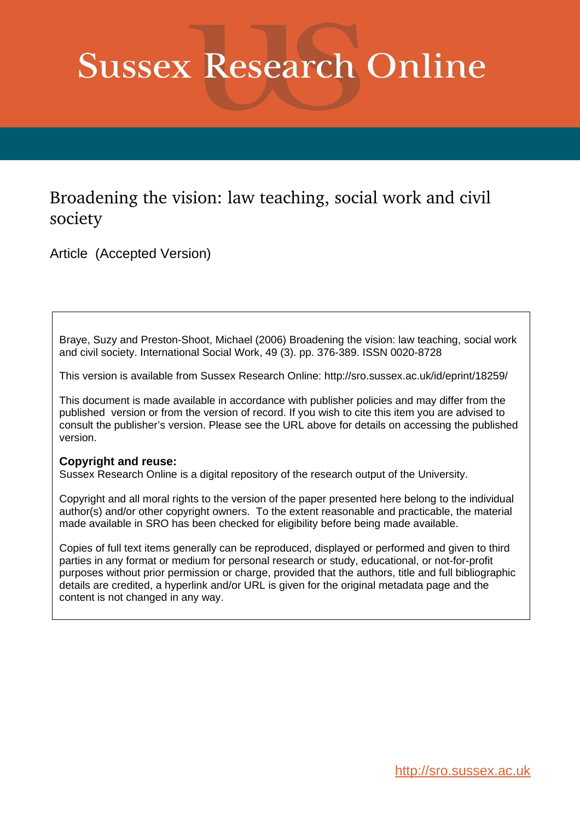# **Sussex Research Online**

# Broadening the vision: law teaching, social work and civil society

Article (Accepted Version)

Braye, Suzy and Preston-Shoot, Michael (2006) Broadening the vision: law teaching, social work and civil society. International Social Work, 49 (3). pp. 376-389. ISSN 0020-8728

This version is available from Sussex Research Online: http://sro.sussex.ac.uk/id/eprint/18259/

This document is made available in accordance with publisher policies and may differ from the published version or from the version of record. If you wish to cite this item you are advised to consult the publisher's version. Please see the URL above for details on accessing the published version.

#### **Copyright and reuse:**

Sussex Research Online is a digital repository of the research output of the University.

Copyright and all moral rights to the version of the paper presented here belong to the individual author(s) and/or other copyright owners. To the extent reasonable and practicable, the material made available in SRO has been checked for eligibility before being made available.

Copies of full text items generally can be reproduced, displayed or performed and given to third parties in any format or medium for personal research or study, educational, or not-for-profit purposes without prior permission or charge, provided that the authors, title and full bibliographic details are credited, a hyperlink and/or URL is given for the original metadata page and the content is not changed in any way.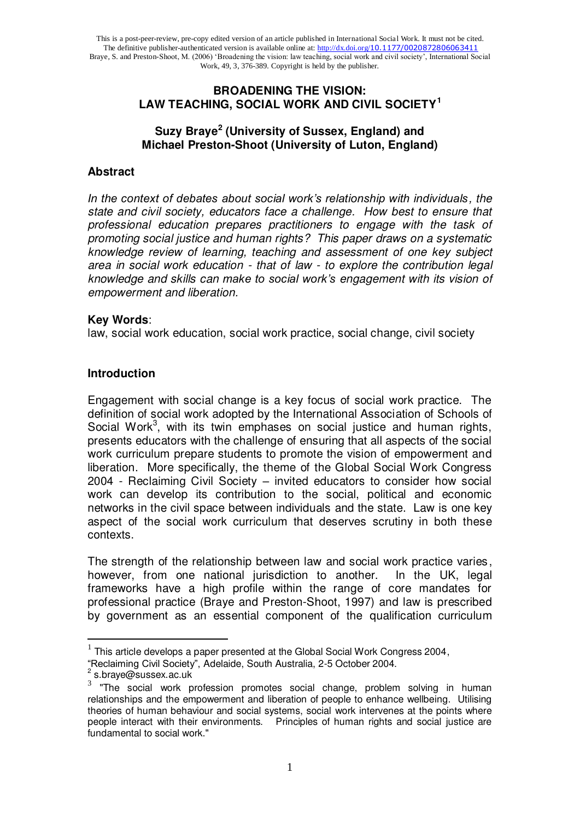#### **BROADENING THE VISION: LAW TEACHING, SOCIAL WORK AND CIVIL SOCIETY<sup>1</sup>**

## **Suzy Braye<sup>2</sup> (University of Sussex, England) and Michael Preston-Shoot (University of Luton, England)**

#### **Abstract**

*In the context of debates about social work's relationship with individuals, the state and civil society, educators face a challenge. How best to ensure that professional education prepares practitioners to engage with the task of promoting social justice and human rights? This paper draws on a systematic knowledge review of learning, teaching and assessment of one key subject area in social work education - that of law - to explore the contribution legal knowledge and skills can make to social work's engagement with its vision of empowerment and liberation.* 

#### **Key Words**:

law, social work education, social work practice, social change, civil society

#### **Introduction**

Engagement with social change is a key focus of social work practice. The definition of social work adopted by the International Association of Schools of Social Work<sup>3</sup>, with its twin emphases on social justice and human rights, presents educators with the challenge of ensuring that all aspects of the social work curriculum prepare students to promote the vision of empowerment and liberation. More specifically, the theme of the Global Social Work Congress 2004 - Reclaiming Civil Society – invited educators to consider how social work can develop its contribution to the social, political and economic networks in the civil space between individuals and the state. Law is one key aspect of the social work curriculum that deserves scrutiny in both these contexts.

The strength of the relationship between law and social work practice varies, however, from one national jurisdiction to another. In the UK, legal frameworks have a high profile within the range of core mandates for professional practice (Braye and Preston-Shoot, 1997) and law is prescribed by government as an essential component of the qualification curriculum

-

 $1$  This article develops a paper presented at the Global Social Work Congress 2004,

<sup>&</sup>quot;Reclaiming Civil Society", Adelaide, South Australia, 2-5 October 2004.

<sup>2</sup> s.braye@sussex.ac.uk

 $3$  "The social work profession promotes social change, problem solving in human relationships and the empowerment and liberation of people to enhance wellbeing. Utilising theories of human behaviour and social systems, social work intervenes at the points where people interact with their environments. Principles of human rights and social justice are fundamental to social work."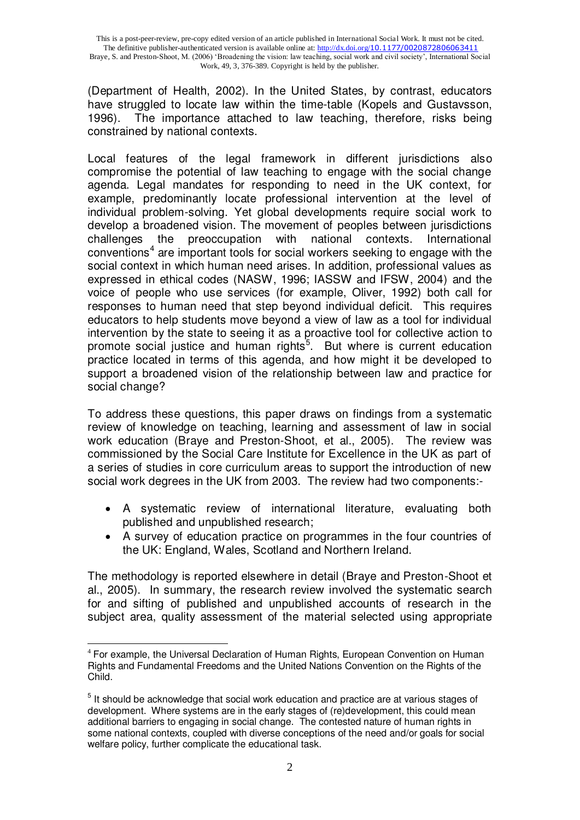(Department of Health, 2002). In the United States, by contrast, educators have struggled to locate law within the time-table (Kopels and Gustavsson, 1996). The importance attached to law teaching, therefore, risks being constrained by national contexts.

Local features of the legal framework in different jurisdictions also compromise the potential of law teaching to engage with the social change agenda. Legal mandates for responding to need in the UK context, for example, predominantly locate professional intervention at the level of individual problem-solving. Yet global developments require social work to develop a broadened vision. The movement of peoples between jurisdictions challenges the preoccupation with national contexts. International conventions<sup>4</sup> are important tools for social workers seeking to engage with the social context in which human need arises. In addition, professional values as expressed in ethical codes (NASW, 1996; IASSW and IFSW, 2004) and the voice of people who use services (for example, Oliver, 1992) both call for responses to human need that step beyond individual deficit. This requires educators to help students move beyond a view of law as a tool for individual intervention by the state to seeing it as a proactive tool for collective action to promote social justice and human rights<sup>5</sup>. But where is current education practice located in terms of this agenda, and how might it be developed to support a broadened vision of the relationship between law and practice for social change?

To address these questions, this paper draws on findings from a systematic review of knowledge on teaching, learning and assessment of law in social work education (Braye and Preston-Shoot, et al., 2005). The review was commissioned by the Social Care Institute for Excellence in the UK as part of a series of studies in core curriculum areas to support the introduction of new social work degrees in the UK from 2003. The review had two components:-

- A systematic review of international literature, evaluating both published and unpublished research;
- A survey of education practice on programmes in the four countries of the UK: England, Wales, Scotland and Northern Ireland.

The methodology is reported elsewhere in detail (Braye and Preston-Shoot et al., 2005). In summary, the research review involved the systematic search for and sifting of published and unpublished accounts of research in the subject area, quality assessment of the material selected using appropriate

<sup>-</sup><sup>4</sup> For example, the Universal Declaration of Human Rights, European Convention on Human Rights and Fundamental Freedoms and the United Nations Convention on the Rights of the Child.

<sup>&</sup>lt;sup>5</sup> It should be acknowledge that social work education and practice are at various stages of development. Where systems are in the early stages of (re)development, this could mean additional barriers to engaging in social change. The contested nature of human rights in some national contexts, coupled with diverse conceptions of the need and/or goals for social welfare policy, further complicate the educational task.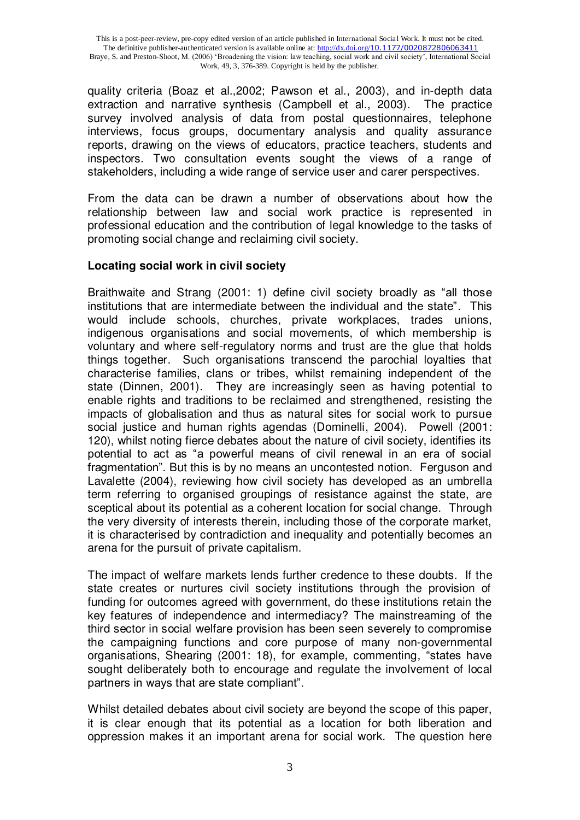quality criteria (Boaz et al.,2002; Pawson et al., 2003), and in-depth data extraction and narrative synthesis (Campbell et al., 2003). The practice survey involved analysis of data from postal questionnaires, telephone interviews, focus groups, documentary analysis and quality assurance reports, drawing on the views of educators, practice teachers, students and inspectors. Two consultation events sought the views of a range of stakeholders, including a wide range of service user and carer perspectives.

From the data can be drawn a number of observations about how the relationship between law and social work practice is represented in professional education and the contribution of legal knowledge to the tasks of promoting social change and reclaiming civil society.

#### **Locating social work in civil society**

Braithwaite and Strang (2001: 1) define civil society broadly as "all those institutions that are intermediate between the individual and the state". This would include schools, churches, private workplaces, trades unions, indigenous organisations and social movements, of which membership is voluntary and where self-regulatory norms and trust are the glue that holds things together. Such organisations transcend the parochial loyalties that characterise families, clans or tribes, whilst remaining independent of the state (Dinnen, 2001). They are increasingly seen as having potential to enable rights and traditions to be reclaimed and strengthened, resisting the impacts of globalisation and thus as natural sites for social work to pursue social justice and human rights agendas (Dominelli, 2004). Powell (2001: 120), whilst noting fierce debates about the nature of civil society, identifies its potential to act as "a powerful means of civil renewal in an era of social fragmentation". But this is by no means an uncontested notion. Ferguson and Lavalette (2004), reviewing how civil society has developed as an umbrella term referring to organised groupings of resistance against the state, are sceptical about its potential as a coherent location for social change. Through the very diversity of interests therein, including those of the corporate market, it is characterised by contradiction and inequality and potentially becomes an arena for the pursuit of private capitalism.

The impact of welfare markets lends further credence to these doubts. If the state creates or nurtures civil society institutions through the provision of funding for outcomes agreed with government, do these institutions retain the key features of independence and intermediacy? The mainstreaming of the third sector in social welfare provision has been seen severely to compromise the campaigning functions and core purpose of many non-governmental organisations, Shearing (2001: 18), for example, commenting, "states have sought deliberately both to encourage and regulate the involvement of local partners in ways that are state compliant".

Whilst detailed debates about civil society are beyond the scope of this paper, it is clear enough that its potential as a location for both liberation and oppression makes it an important arena for social work. The question here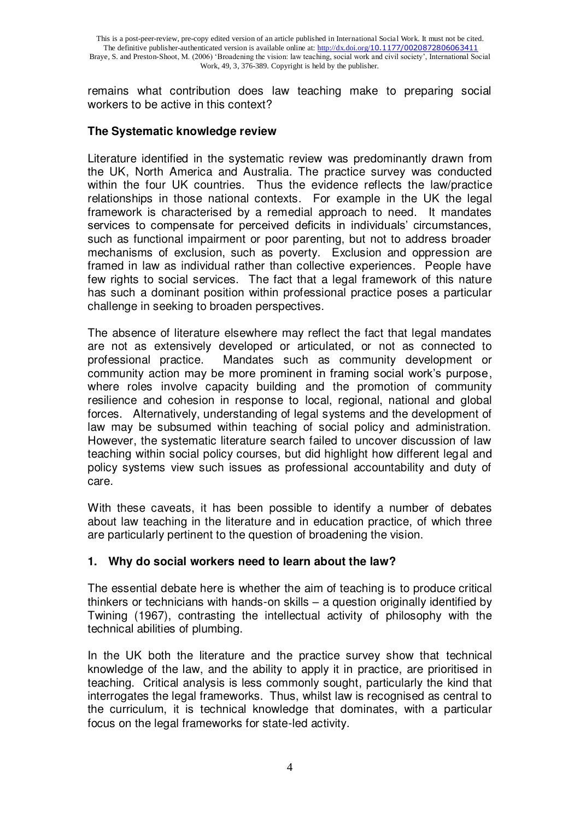remains what contribution does law teaching make to preparing social workers to be active in this context?

#### **The Systematic knowledge review**

Literature identified in the systematic review was predominantly drawn from the UK, North America and Australia. The practice survey was conducted within the four UK countries. Thus the evidence reflects the law/practice relationships in those national contexts. For example in the UK the legal framework is characterised by a remedial approach to need. It mandates services to compensate for perceived deficits in individuals' circumstances, such as functional impairment or poor parenting, but not to address broader mechanisms of exclusion, such as poverty. Exclusion and oppression are framed in law as individual rather than collective experiences. People have few rights to social services. The fact that a legal framework of this nature has such a dominant position within professional practice poses a particular challenge in seeking to broaden perspectives.

The absence of literature elsewhere may reflect the fact that legal mandates are not as extensively developed or articulated, or not as connected to professional practice. Mandates such as community development or community action may be more prominent in framing social work"s purpose, where roles involve capacity building and the promotion of community resilience and cohesion in response to local, regional, national and global forces. Alternatively, understanding of legal systems and the development of law may be subsumed within teaching of social policy and administration. However, the systematic literature search failed to uncover discussion of law teaching within social policy courses, but did highlight how different legal and policy systems view such issues as professional accountability and duty of care.

With these caveats, it has been possible to identify a number of debates about law teaching in the literature and in education practice, of which three are particularly pertinent to the question of broadening the vision.

#### **1. Why do social workers need to learn about the law?**

The essential debate here is whether the aim of teaching is to produce critical thinkers or technicians with hands-on skills – a question originally identified by Twining (1967), contrasting the intellectual activity of philosophy with the technical abilities of plumbing.

In the UK both the literature and the practice survey show that technical knowledge of the law, and the ability to apply it in practice, are prioritised in teaching. Critical analysis is less commonly sought, particularly the kind that interrogates the legal frameworks. Thus, whilst law is recognised as central to the curriculum, it is technical knowledge that dominates, with a particular focus on the legal frameworks for state-led activity.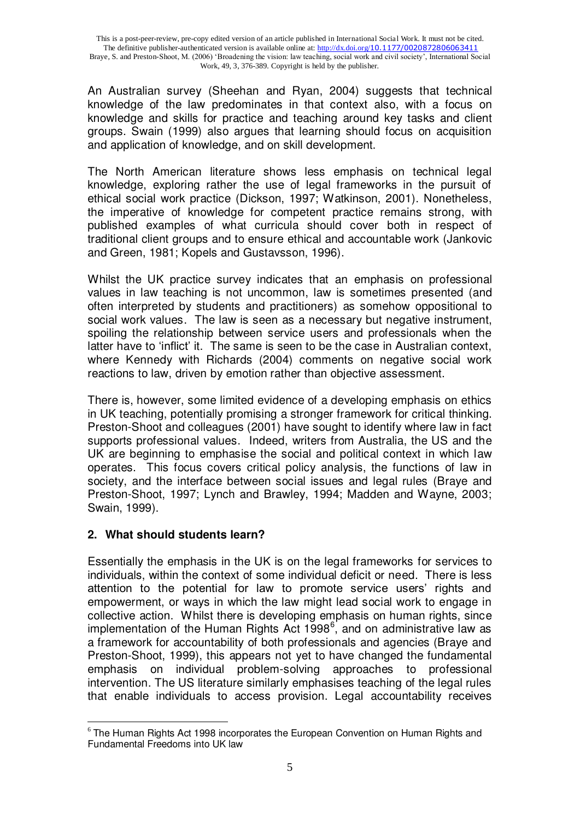An Australian survey (Sheehan and Ryan, 2004) suggests that technical knowledge of the law predominates in that context also, with a focus on knowledge and skills for practice and teaching around key tasks and client groups. Swain (1999) also argues that learning should focus on acquisition and application of knowledge, and on skill development.

The North American literature shows less emphasis on technical legal knowledge, exploring rather the use of legal frameworks in the pursuit of ethical social work practice (Dickson, 1997; Watkinson, 2001). Nonetheless, the imperative of knowledge for competent practice remains strong, with published examples of what curricula should cover both in respect of traditional client groups and to ensure ethical and accountable work (Jankovic and Green, 1981; Kopels and Gustavsson, 1996).

Whilst the UK practice survey indicates that an emphasis on professional values in law teaching is not uncommon, law is sometimes presented (and often interpreted by students and practitioners) as somehow oppositional to social work values. The law is seen as a necessary but negative instrument, spoiling the relationship between service users and professionals when the latter have to 'inflict' it. The same is seen to be the case in Australian context, where Kennedy with Richards (2004) comments on negative social work reactions to law, driven by emotion rather than objective assessment.

There is, however, some limited evidence of a developing emphasis on ethics in UK teaching, potentially promising a stronger framework for critical thinking. Preston-Shoot and colleagues (2001) have sought to identify where law in fact supports professional values. Indeed, writers from Australia, the US and the UK are beginning to emphasise the social and political context in which law operates. This focus covers critical policy analysis, the functions of law in society, and the interface between social issues and legal rules (Braye and Preston-Shoot, 1997; Lynch and Brawley, 1994; Madden and Wayne, 2003; Swain, 1999).

# **2. What should students learn?**

Essentially the emphasis in the UK is on the legal frameworks for services to individuals, within the context of some individual deficit or need. There is less attention to the potential for law to promote service users' rights and empowerment, or ways in which the law might lead social work to engage in collective action. Whilst there is developing emphasis on human rights, since implementation of the Human Rights Act 1998 $<sup>6</sup>$ , and on administrative law as</sup> a framework for accountability of both professionals and agencies (Braye and Preston-Shoot, 1999), this appears not yet to have changed the fundamental emphasis on individual problem-solving approaches to professional intervention. The US literature similarly emphasises teaching of the legal rules that enable individuals to access provision. Legal accountability receives

<sup>-</sup><sup>6</sup> The Human Rights Act 1998 incorporates the European Convention on Human Rights and Fundamental Freedoms into UK law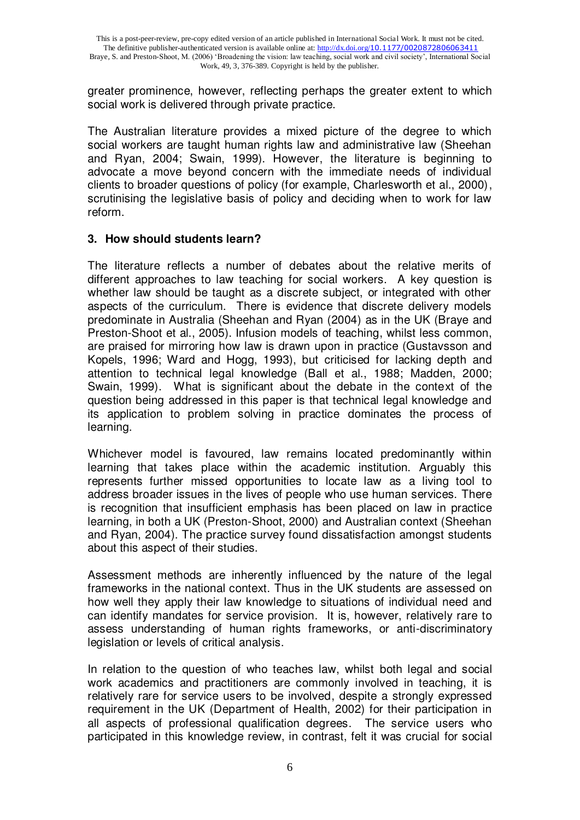greater prominence, however, reflecting perhaps the greater extent to which social work is delivered through private practice.

The Australian literature provides a mixed picture of the degree to which social workers are taught human rights law and administrative law (Sheehan and Ryan, 2004; Swain, 1999). However, the literature is beginning to advocate a move beyond concern with the immediate needs of individual clients to broader questions of policy (for example, Charlesworth et al., 2000), scrutinising the legislative basis of policy and deciding when to work for law reform.

### **3. How should students learn?**

The literature reflects a number of debates about the relative merits of different approaches to law teaching for social workers. A key question is whether law should be taught as a discrete subject, or integrated with other aspects of the curriculum. There is evidence that discrete delivery models predominate in Australia (Sheehan and Ryan (2004) as in the UK (Braye and Preston-Shoot et al., 2005). Infusion models of teaching, whilst less common, are praised for mirroring how law is drawn upon in practice (Gustavsson and Kopels, 1996; Ward and Hogg, 1993), but criticised for lacking depth and attention to technical legal knowledge (Ball et al., 1988; Madden, 2000; Swain, 1999). What is significant about the debate in the context of the question being addressed in this paper is that technical legal knowledge and its application to problem solving in practice dominates the process of learning.

Whichever model is favoured, law remains located predominantly within learning that takes place within the academic institution. Arguably this represents further missed opportunities to locate law as a living tool to address broader issues in the lives of people who use human services. There is recognition that insufficient emphasis has been placed on law in practice learning, in both a UK (Preston-Shoot, 2000) and Australian context (Sheehan and Ryan, 2004). The practice survey found dissatisfaction amongst students about this aspect of their studies.

Assessment methods are inherently influenced by the nature of the legal frameworks in the national context. Thus in the UK students are assessed on how well they apply their law knowledge to situations of individual need and can identify mandates for service provision. It is, however, relatively rare to assess understanding of human rights frameworks, or anti-discriminatory legislation or levels of critical analysis.

In relation to the question of who teaches law, whilst both legal and social work academics and practitioners are commonly involved in teaching, it is relatively rare for service users to be involved, despite a strongly expressed requirement in the UK (Department of Health, 2002) for their participation in all aspects of professional qualification degrees. The service users who participated in this knowledge review, in contrast, felt it was crucial for social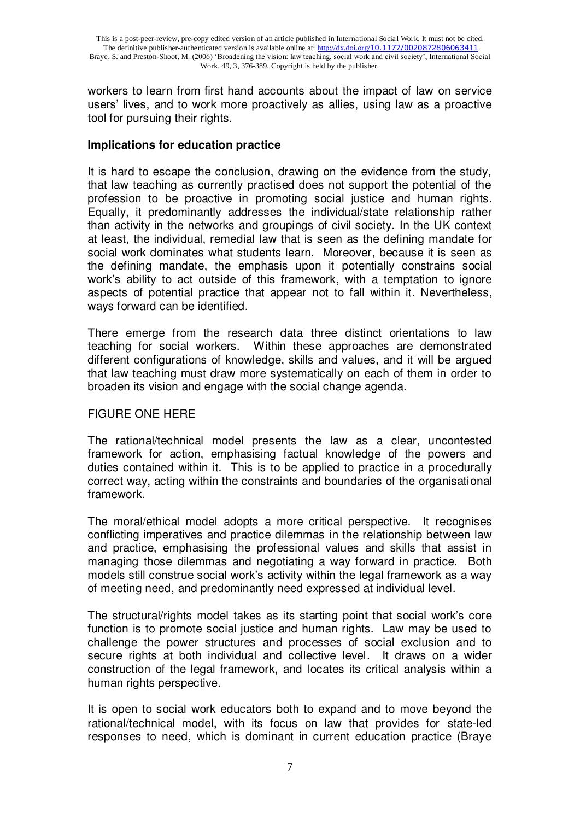workers to learn from first hand accounts about the impact of law on service users" lives, and to work more proactively as allies, using law as a proactive tool for pursuing their rights.

#### **Implications for education practice**

It is hard to escape the conclusion, drawing on the evidence from the study, that law teaching as currently practised does not support the potential of the profession to be proactive in promoting social justice and human rights. Equally, it predominantly addresses the individual/state relationship rather than activity in the networks and groupings of civil society. In the UK context at least, the individual, remedial law that is seen as the defining mandate for social work dominates what students learn. Moreover, because it is seen as the defining mandate, the emphasis upon it potentially constrains social work's ability to act outside of this framework, with a temptation to ignore aspects of potential practice that appear not to fall within it. Nevertheless, ways forward can be identified.

There emerge from the research data three distinct orientations to law teaching for social workers. Within these approaches are demonstrated different configurations of knowledge, skills and values, and it will be argued that law teaching must draw more systematically on each of them in order to broaden its vision and engage with the social change agenda.

#### FIGURE ONE HERE

The rational/technical model presents the law as a clear, uncontested framework for action, emphasising factual knowledge of the powers and duties contained within it. This is to be applied to practice in a procedurally correct way, acting within the constraints and boundaries of the organisational framework.

The moral/ethical model adopts a more critical perspective. It recognises conflicting imperatives and practice dilemmas in the relationship between law and practice, emphasising the professional values and skills that assist in managing those dilemmas and negotiating a way forward in practice. Both models still construe social work"s activity within the legal framework as a way of meeting need, and predominantly need expressed at individual level.

The structural/rights model takes as its starting point that social work"s core function is to promote social justice and human rights. Law may be used to challenge the power structures and processes of social exclusion and to secure rights at both individual and collective level. It draws on a wider construction of the legal framework, and locates its critical analysis within a human rights perspective.

It is open to social work educators both to expand and to move beyond the rational/technical model, with its focus on law that provides for state-led responses to need, which is dominant in current education practice (Braye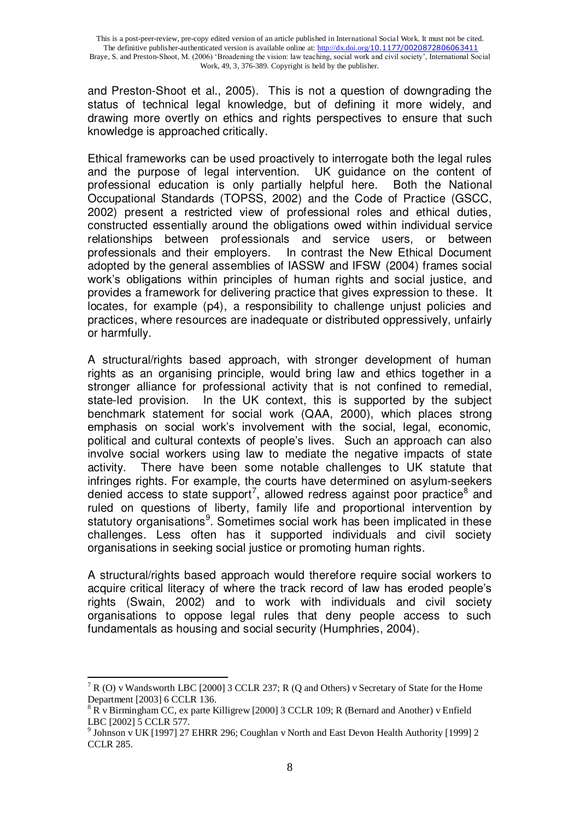and Preston-Shoot et al., 2005). This is not a question of downgrading the status of technical legal knowledge, but of defining it more widely, and drawing more overtly on ethics and rights perspectives to ensure that such knowledge is approached critically.

Ethical frameworks can be used proactively to interrogate both the legal rules and the purpose of legal intervention. UK guidance on the content of professional education is only partially helpful here. Both the National Occupational Standards (TOPSS, 2002) and the Code of Practice (GSCC, 2002) present a restricted view of professional roles and ethical duties, constructed essentially around the obligations owed within individual service relationships between professionals and service users, or between professionals and their employers. In contrast the New Ethical Document In contrast the New Ethical Document adopted by the general assemblies of IASSW and IFSW (2004) frames social work"s obligations within principles of human rights and social justice, and provides a framework for delivering practice that gives expression to these. It locates, for example (p4), a responsibility to challenge unjust policies and practices, where resources are inadequate or distributed oppressively, unfairly or harmfully.

A structural/rights based approach, with stronger development of human rights as an organising principle, would bring law and ethics together in a stronger alliance for professional activity that is not confined to remedial, state-led provision. In the UK context, this is supported by the subject benchmark statement for social work (QAA, 2000), which places strong emphasis on social work's involvement with the social, legal, economic, political and cultural contexts of people"s lives. Such an approach can also involve social workers using law to mediate the negative impacts of state activity. There have been some notable challenges to UK statute that infringes rights. For example, the courts have determined on asylum-seekers denied access to state support<sup>7</sup>, allowed redress against poor practice<sup>8</sup> and ruled on questions of liberty, family life and proportional intervention by statutory organisations<sup>9</sup>. Sometimes social work has been implicated in these challenges. Less often has it supported individuals and civil society organisations in seeking social justice or promoting human rights.

A structural/rights based approach would therefore require social workers to acquire critical literacy of where the track record of law has eroded people"s rights (Swain, 2002) and to work with individuals and civil society organisations to oppose legal rules that deny people access to such fundamentals as housing and social security (Humphries, 2004).

 $\overline{\phantom{a}}$ 7 R (O) v Wandsworth LBC [2000] 3 CCLR 237; R (Q and Others) v Secretary of State for the Home Department [2003] 6 CCLR 136.

 $8 R$  v Birmingham CC, ex parte Killigrew [2000] 3 CCLR 109; R (Bernard and Another) v Enfield LBC [2002] 5 CCLR 577.

<sup>&</sup>lt;sup>9</sup> Johnson v UK [1997] 27 EHRR 296; Coughlan v North and East Devon Health Authority [1999] 2 CCLR 285.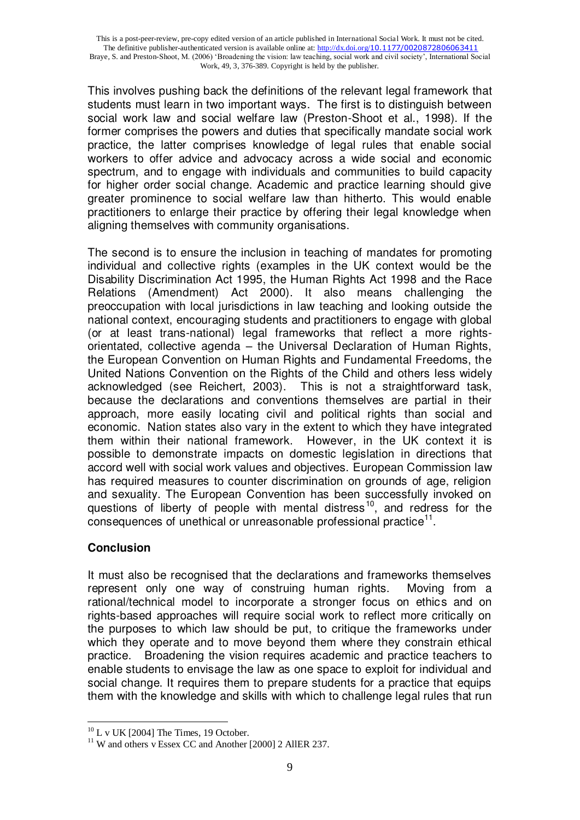This involves pushing back the definitions of the relevant legal framework that students must learn in two important ways. The first is to distinguish between social work law and social welfare law (Preston-Shoot et al., 1998). If the former comprises the powers and duties that specifically mandate social work practice, the latter comprises knowledge of legal rules that enable social workers to offer advice and advocacy across a wide social and economic spectrum, and to engage with individuals and communities to build capacity for higher order social change. Academic and practice learning should give greater prominence to social welfare law than hitherto. This would enable practitioners to enlarge their practice by offering their legal knowledge when aligning themselves with community organisations.

The second is to ensure the inclusion in teaching of mandates for promoting individual and collective rights (examples in the UK context would be the Disability Discrimination Act 1995, the Human Rights Act 1998 and the Race Relations (Amendment) Act 2000). It also means challenging the preoccupation with local jurisdictions in law teaching and looking outside the national context, encouraging students and practitioners to engage with global (or at least trans-national) legal frameworks that reflect a more rightsorientated, collective agenda – the Universal Declaration of Human Rights, the European Convention on Human Rights and Fundamental Freedoms, the United Nations Convention on the Rights of the Child and others less widely acknowledged (see Reichert, 2003). This is not a straightforward task, because the declarations and conventions themselves are partial in their approach, more easily locating civil and political rights than social and economic. Nation states also vary in the extent to which they have integrated them within their national framework. However, in the UK context it is possible to demonstrate impacts on domestic legislation in directions that accord well with social work values and objectives. European Commission law has required measures to counter discrimination on grounds of age, religion and sexuality. The European Convention has been successfully invoked on questions of liberty of people with mental distress<sup>10</sup>, and redress for the consequences of unethical or unreasonable professional practice $^{11}$ .

# **Conclusion**

It must also be recognised that the declarations and frameworks themselves represent only one way of construing human rights. Moving from a rational/technical model to incorporate a stronger focus on ethics and on rights-based approaches will require social work to reflect more critically on the purposes to which law should be put, to critique the frameworks under which they operate and to move beyond them where they constrain ethical practice. Broadening the vision requires academic and practice teachers to enable students to envisage the law as one space to exploit for individual and social change. It requires them to prepare students for a practice that equips them with the knowledge and skills with which to challenge legal rules that run

<sup>-</sup> $10$  L v UK [2004] The Times, 19 October.

<sup>&</sup>lt;sup>11</sup> W and others v Essex CC and Another [2000] 2 AllER 237.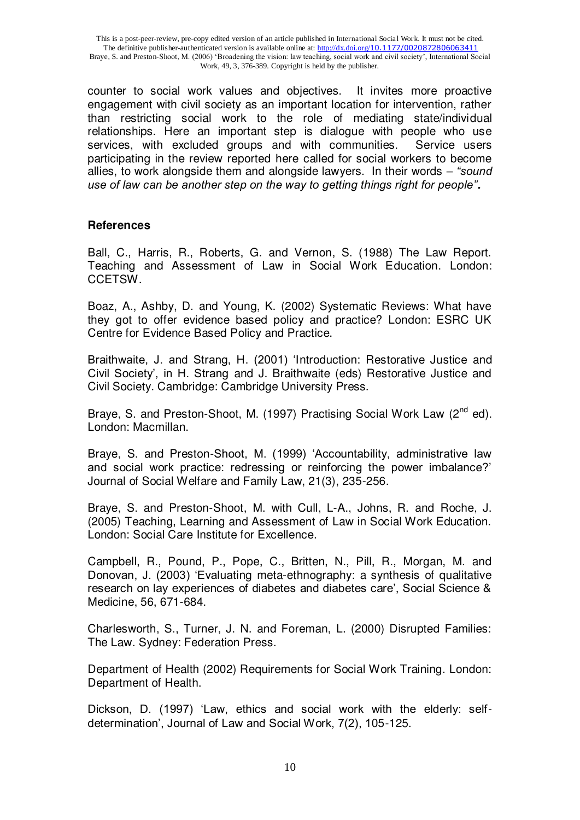counter to social work values and objectives. It invites more proactive engagement with civil society as an important location for intervention, rather than restricting social work to the role of mediating state/individual relationships. Here an important step is dialogue with people who use services, with excluded groups and with communities. Service users participating in the review reported here called for social workers to become allies, to work alongside them and alongside lawyers. In their words – *"sound use of law can be another step on the way to getting things right for people".*

#### **References**

Ball, C., Harris, R., Roberts, G. and Vernon, S. (1988) The Law Report. Teaching and Assessment of Law in Social Work Education. London: CCETSW.

Boaz, A., Ashby, D. and Young, K. (2002) Systematic Reviews: What have they got to offer evidence based policy and practice? London: ESRC UK Centre for Evidence Based Policy and Practice.

Braithwaite, J. and Strang, H. (2001) "Introduction: Restorative Justice and Civil Society", in H. Strang and J. Braithwaite (eds) Restorative Justice and Civil Society. Cambridge: Cambridge University Press.

Braye, S. and Preston-Shoot, M. (1997) Practising Social Work Law  $(2^{nd}$  ed). London: Macmillan.

Braye, S. and Preston-Shoot, M. (1999) "Accountability, administrative law and social work practice: redressing or reinforcing the power imbalance?" Journal of Social Welfare and Family Law, 21(3), 235-256.

Braye, S. and Preston-Shoot, M. with Cull, L-A., Johns, R. and Roche, J. (2005) Teaching, Learning and Assessment of Law in Social Work Education. London: Social Care Institute for Excellence.

Campbell, R., Pound, P., Pope, C., Britten, N., Pill, R., Morgan, M. and Donovan, J. (2003) "Evaluating meta-ethnography: a synthesis of qualitative research on lay experiences of diabetes and diabetes care", Social Science & Medicine, 56, 671-684.

Charlesworth, S., Turner, J. N. and Foreman, L. (2000) Disrupted Families: The Law. Sydney: Federation Press.

Department of Health (2002) Requirements for Social Work Training. London: Department of Health.

Dickson, D. (1997) "Law, ethics and social work with the elderly: selfdetermination", Journal of Law and Social Work, 7(2), 105-125.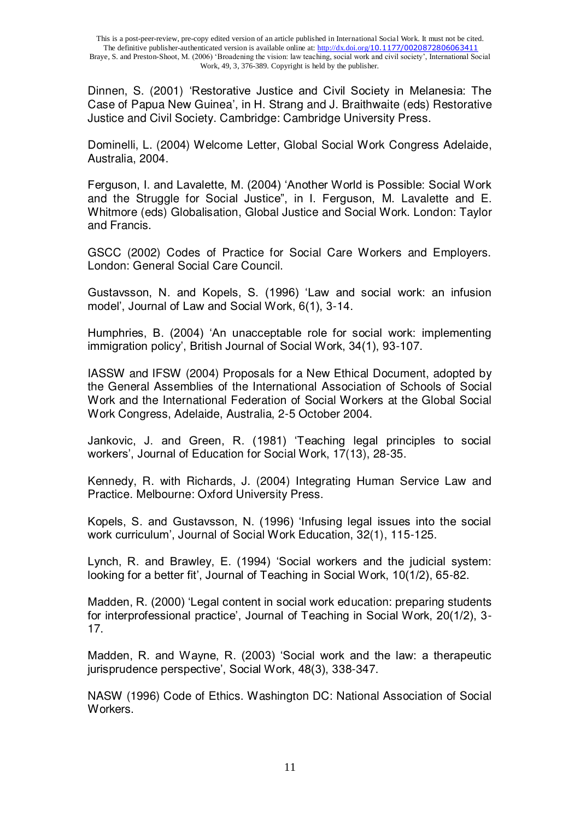Dinnen, S. (2001) "Restorative Justice and Civil Society in Melanesia: The Case of Papua New Guinea', in H. Strang and J. Braithwaite (eds) Restorative Justice and Civil Society. Cambridge: Cambridge University Press.

Dominelli, L. (2004) Welcome Letter, Global Social Work Congress Adelaide, Australia, 2004.

Ferguson, I. and Lavalette, M. (2004) "Another World is Possible: Social Work and the Struggle for Social Justice", in I. Ferguson, M. Lavalette and E. Whitmore (eds) Globalisation, Global Justice and Social Work. London: Taylor and Francis.

GSCC (2002) Codes of Practice for Social Care Workers and Employers. London: General Social Care Council.

Gustavsson, N. and Kopels, S. (1996) "Law and social work: an infusion model", Journal of Law and Social Work, 6(1), 3-14.

Humphries, B. (2004) "An unacceptable role for social work: implementing immigration policy', British Journal of Social Work, 34(1), 93-107.

IASSW and IFSW (2004) Proposals for a New Ethical Document, adopted by the General Assemblies of the International Association of Schools of Social Work and the International Federation of Social Workers at the Global Social Work Congress, Adelaide, Australia, 2-5 October 2004.

Jankovic, J. and Green, R. (1981) "Teaching legal principles to social workers', Journal of Education for Social Work, 17(13), 28-35.

Kennedy, R. with Richards, J. (2004) Integrating Human Service Law and Practice. Melbourne: Oxford University Press.

Kopels, S. and Gustavsson, N. (1996) "Infusing legal issues into the social work curriculum", Journal of Social Work Education, 32(1), 115-125.

Lynch, R. and Brawley, E. (1994) "Social workers and the judicial system: looking for a better fit', Journal of Teaching in Social Work, 10(1/2), 65-82.

Madden, R. (2000) "Legal content in social work education: preparing students for interprofessional practice", Journal of Teaching in Social Work, 20(1/2), 3- 17.

Madden, R. and Wayne, R. (2003) "Social work and the law: a therapeutic jurisprudence perspective', Social Work, 48(3), 338-347.

NASW (1996) Code of Ethics. Washington DC: National Association of Social Workers.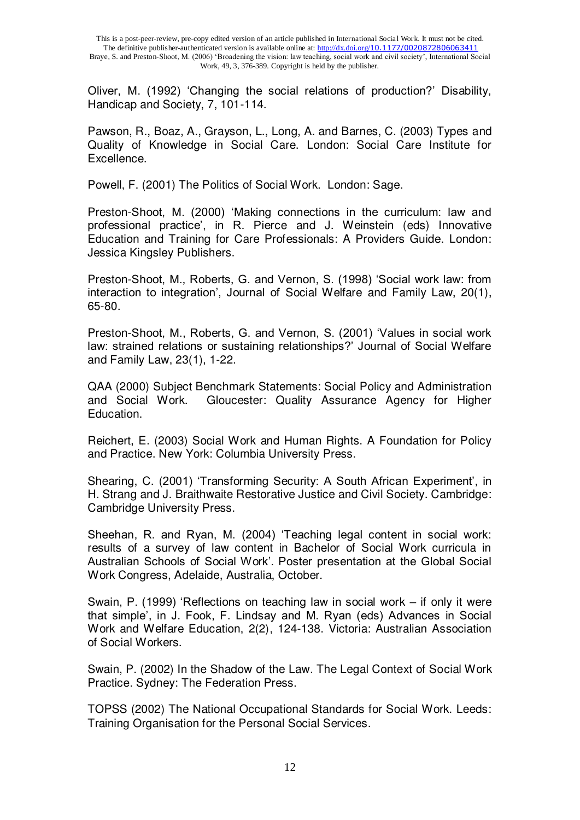Oliver, M. (1992) "Changing the social relations of production?" Disability, Handicap and Society, 7, 101-114.

Pawson, R., Boaz, A., Grayson, L., Long, A. and Barnes, C. (2003) Types and Quality of Knowledge in Social Care. London: Social Care Institute for Excellence.

Powell, F. (2001) The Politics of Social Work. London: Sage.

Preston-Shoot, M. (2000) "Making connections in the curriculum: law and professional practice", in R. Pierce and J. Weinstein (eds) Innovative Education and Training for Care Professionals: A Providers Guide. London: Jessica Kingsley Publishers.

Preston-Shoot, M., Roberts, G. and Vernon, S. (1998) "Social work law: from interaction to integration', Journal of Social Welfare and Family Law, 20(1), 65-80.

Preston-Shoot, M., Roberts, G. and Vernon, S. (2001) "Values in social work law: strained relations or sustaining relationships?" Journal of Social Welfare and Family Law, 23(1), 1-22.

QAA (2000) Subject Benchmark Statements: Social Policy and Administration and Social Work. Gloucester: Quality Assurance Agency for Higher Education.

Reichert, E. (2003) Social Work and Human Rights. A Foundation for Policy and Practice. New York: Columbia University Press.

Shearing, C. (2001) 'Transforming Security: A South African Experiment', in H. Strang and J. Braithwaite Restorative Justice and Civil Society. Cambridge: Cambridge University Press.

Sheehan, R. and Ryan, M. (2004) "Teaching legal content in social work: results of a survey of law content in Bachelor of Social Work curricula in Australian Schools of Social Work". Poster presentation at the Global Social Work Congress, Adelaide, Australia, October.

Swain, P. (1999) "Reflections on teaching law in social work – if only it were that simple", in J. Fook, F. Lindsay and M. Ryan (eds) Advances in Social Work and Welfare Education, 2(2), 124-138. Victoria: Australian Association of Social Workers.

Swain, P. (2002) In the Shadow of the Law. The Legal Context of Social Work Practice. Sydney: The Federation Press.

TOPSS (2002) The National Occupational Standards for Social Work. Leeds: Training Organisation for the Personal Social Services.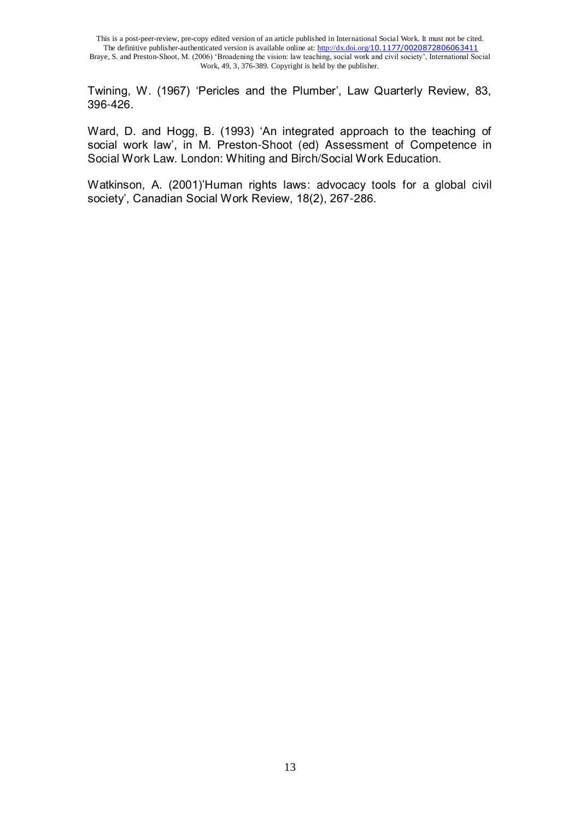Twining, W. (1967) "Pericles and the Plumber", Law Quarterly Review, 83, 396-426.

Ward, D. and Hogg, B. (1993) "An integrated approach to the teaching of social work law', in M. Preston-Shoot (ed) Assessment of Competence in Social Work Law. London: Whiting and Birch/Social Work Education.

Watkinson, A. (2001)"Human rights laws: advocacy tools for a global civil society', Canadian Social Work Review, 18(2), 267-286.